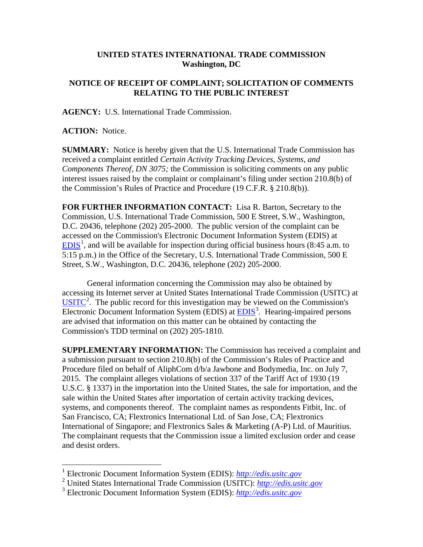## **UNITED STATES INTERNATIONAL TRADE COMMISSION Washington, DC**

## **NOTICE OF RECEIPT OF COMPLAINT; SOLICITATION OF COMMENTS RELATING TO THE PUBLIC INTEREST**

**AGENCY:** U.S. International Trade Commission.

**ACTION:** Notice.

**SUMMARY:** Notice is hereby given that the U.S. International Trade Commission has received a complaint entitled *Certain Activity Tracking Devices, Systems, and Components Thereof, DN 3075;* the Commission is soliciting comments on any public interest issues raised by the complaint or complainant's filing under section 210.8(b) of the Commission's Rules of Practice and Procedure (19 C.F.R. § 210.8(b)).

**FOR FURTHER INFORMATION CONTACT:** Lisa R. Barton, Secretary to the Commission, U.S. International Trade Commission, 500 E Street, S.W., Washington, D.C. 20436, telephone (202) 205-2000. The public version of the complaint can be accessed on the Commission's Electronic Document Information System (EDIS) at  $EDIS<sup>1</sup>$  $EDIS<sup>1</sup>$  $EDIS<sup>1</sup>$  $EDIS<sup>1</sup>$ , and will be available for inspection during official business hours (8:45 a.m. to 5:15 p.m.) in the Office of the Secretary, U.S. International Trade Commission, 500 E Street, S.W., Washington, D.C. 20436, telephone (202) 205-2000.

General information concerning the Commission may also be obtained by accessing its Internet server at United States International Trade Commission (USITC) at  $\overline{U S I T C}^2$  $\overline{U S I T C}^2$ . The public record for this investigation may be viewed on the Commission's Electronic Document Information System (EDIS) at **EDIS**<sup>[3](#page-0-2)</sup>. Hearing-impaired persons are advised that information on this matter can be obtained by contacting the Commission's TDD terminal on (202) 205-1810.

**SUPPLEMENTARY INFORMATION:** The Commission has received a complaint and a submission pursuant to section 210.8(b) of the Commission's Rules of Practice and Procedure filed on behalf of AliphCom d/b/a Jawbone and Bodymedia, Inc. on July 7, 2015. The complaint alleges violations of section 337 of the Tariff Act of 1930 (19 U.S.C. § 1337) in the importation into the United States, the sale for importation, and the sale within the United States after importation of certain activity tracking devices, systems, and components thereof. The complaint names as respondents Fitbit, Inc. of San Francisco, CA; Flextronics International Ltd. of San Jose, CA; Flextronics International of Singapore; and Flextronics Sales & Marketing (A-P) Ltd. of Mauritius. The complainant requests that the Commission issue a limited exclusion order and cease and desist orders.

 <sup>1</sup> Electronic Document Information System (EDIS): *[http://edis.usitc.gov](http://edis.usitc.gov/)*

<span id="page-0-1"></span><span id="page-0-0"></span><sup>2</sup> United States International Trade Commission (USITC): *[http://edis.usitc.gov](http://edis.usitc.gov/)*

<span id="page-0-2"></span><sup>3</sup> Electronic Document Information System (EDIS): *[http://edis.usitc.gov](http://edis.usitc.gov/)*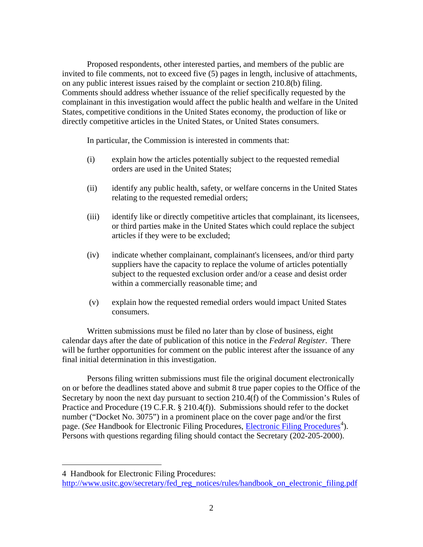Proposed respondents, other interested parties, and members of the public are invited to file comments, not to exceed five (5) pages in length, inclusive of attachments, on any public interest issues raised by the complaint or section 210.8(b) filing. Comments should address whether issuance of the relief specifically requested by the complainant in this investigation would affect the public health and welfare in the United States, competitive conditions in the United States economy, the production of like or directly competitive articles in the United States, or United States consumers.

In particular, the Commission is interested in comments that:

- (i) explain how the articles potentially subject to the requested remedial orders are used in the United States;
- (ii) identify any public health, safety, or welfare concerns in the United States relating to the requested remedial orders;
- (iii) identify like or directly competitive articles that complainant, its licensees, or third parties make in the United States which could replace the subject articles if they were to be excluded;
- (iv) indicate whether complainant, complainant's licensees, and/or third party suppliers have the capacity to replace the volume of articles potentially subject to the requested exclusion order and/or a cease and desist order within a commercially reasonable time; and
- (v) explain how the requested remedial orders would impact United States consumers.

Written submissions must be filed no later than by close of business, eight calendar days after the date of publication of this notice in the *Federal Register*. There will be further opportunities for comment on the public interest after the issuance of any final initial determination in this investigation.

Persons filing written submissions must file the original document electronically on or before the deadlines stated above and submit 8 true paper copies to the Office of the Secretary by noon the next day pursuant to section 210.4(f) of the Commission's Rules of Practice and Procedure (19 C.F.R. § 210.4(f)). Submissions should refer to the docket number ("Docket No. 3075") in a prominent place on the cover page and/or the first page. (*See* Handbook for [Electronic Filing Procedures](http://www.usitc.gov/secretary/fed_reg_notices/rules/handbook_on_electronic_filing.pdf), *Electronic Filing Procedures*<sup>[4](#page-1-0)</sup>). Persons with questions regarding filing should contact the Secretary (202-205-2000).

 $\overline{a}$ 

<span id="page-1-0"></span><sup>4</sup> Handbook for Electronic Filing Procedures:

http://www.usitc.gov/secretary/fed\_reg\_notices/rules/handbook\_on\_electronic\_filing.pdf